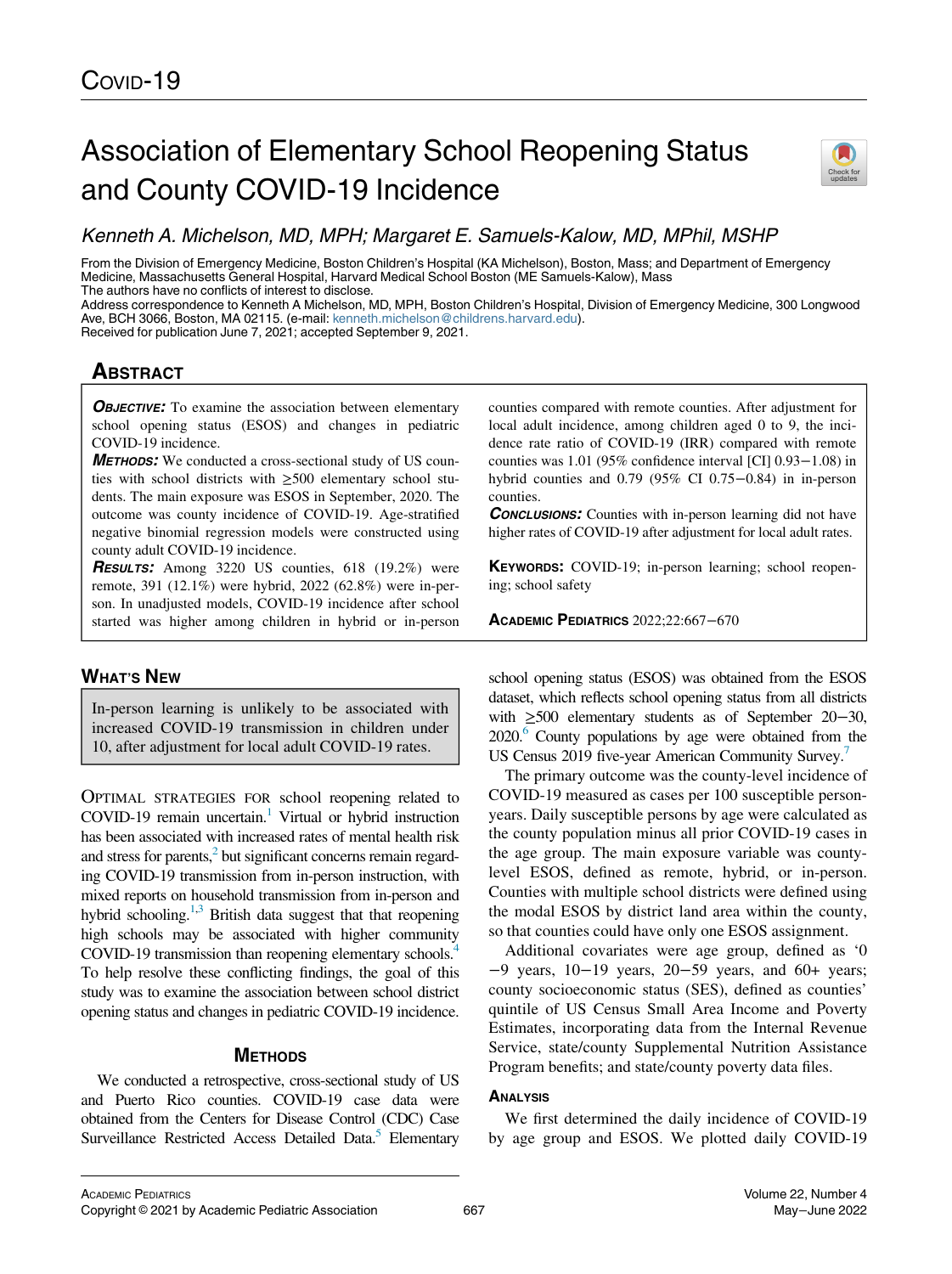# Association of Elementary School Reopening Status and County COVID-19 Incidence



From the Division of Emergency Medicine, Boston Children's Hospital (KA Michelson), Boston, Mass; and Department of Emergency Medicine, Massachusetts General Hospital, Harvard Medical School Boston (ME Samuels-Kalow), Mass The authors have no conflicts of interest to disclose.

Address correspondence to Kenneth A Michelson, MD, MPH, Boston Children's Hospital, Division of Emergency Medicine, 300 Longwood Ave, BCH 3066, Boston, MA 02115. (e-mail: [kenneth.michelson@childrens.harvard.edu\)](mailto:kenneth.michelson@childrens.harvard.edu).

Received for publication June 7, 2021; accepted September 9, 2021.

# **ABSTRACT**

**OBJECTIVE:** To examine the association between elementary school opening status (ESOS) and changes in pediatric COVID-19 incidence.

METHODS: We conducted a cross-sectional study of US counties with school districts with ≥500 elementary school students. The main exposure was ESOS in September, 2020. The outcome was county incidence of COVID-19. Age-stratified negative binomial regression models were constructed using county adult COVID-19 incidence.

**RESULTS:** Among 3220 US counties, 618 (19.2%) were remote, 391 (12.1%) were hybrid, 2022 (62.8%) were in-person. In unadjusted models, COVID-19 incidence after school started was higher among children in hybrid or in-person

## WHAT'S NEW

In-person learning is unlikely to be associated with increased COVID-19 transmission in children under 10, after adjustment for local adult COVID-19 rates.

OPTIMAL STRATEGIES FOR school reopening related to COVID-19 remain uncertain.<sup>1</sup> Virtual or hybrid instruction has been associated with increased rates of mental health risk and stress for parents, $<sup>2</sup>$  but significant concerns remain regard-</sup> ing COVID-19 transmission from in-person instruction, with mixed reports on household transmission from in-person and hybrid schooling. $1,3$  $1,3$  $1,3$  British data suggest that that reopening high schools may be associated with higher community COVID-19 transmission than reopening elementary schools.<sup>[4](#page-2-3)</sup> To help resolve these conflicting findings, the goal of this study was to examine the association between school district opening status and changes in pediatric COVID-19 incidence.

### **METHODS**

We conducted a retrospective, cross-sectional study of US and Puerto Rico counties. COVID-19 case data were obtained from the Centers for Disease Control (CDC) Case Surveillance Restricted Access Detailed Data.<sup>5</sup> Elementary

counties compared with remote counties. After adjustment for local adult incidence, among children aged 0 to 9, the incidence rate ratio of COVID-19 (IRR) compared with remote counties was 1.01 (95% confidence interval [CI] 0.93−1.08) in hybrid counties and 0.79 (95% CI 0.75−0.84) in in-person counties.

**CONCLUSIONS:** Counties with in-person learning did not have higher rates of COVID-19 after adjustment for local adult rates.

KEYWORDS: COVID-19; in-person learning; school reopening; school safety

ACADEMIC PEDIATRICS 2022;22:667−670

school opening status (ESOS) was obtained from the ESOS dataset, which reflects school opening status from all districts with ≥500 elementary students as of September 20−30,  $2020<sup>6</sup>$  County populations by age were obtained from the US Census 2019 five-year American Community Survey.<sup>[7](#page-2-6)</sup>

The primary outcome was the county-level incidence of COVID-19 measured as cases per 100 susceptible personyears. Daily susceptible persons by age were calculated as the county population minus all prior COVID-19 cases in the age group. The main exposure variable was countylevel ESOS, defined as remote, hybrid, or in-person. Counties with multiple school districts were defined using the modal ESOS by district land area within the county, so that counties could have only one ESOS assignment.

Additional covariates were age group, defined as '0 −9 years, 10−19 years, 20−59 years, and 60+ years; county socioeconomic status (SES), defined as counties' quintile of US Census Small Area Income and Poverty Estimates, incorporating data from the Internal Revenue Service, state/county Supplemental Nutrition Assistance Program benefits; and state/county poverty data files.

#### **ANALYSIS**

We first determined the daily incidence of COVID-19 by age group and ESOS. We plotted daily COVID-19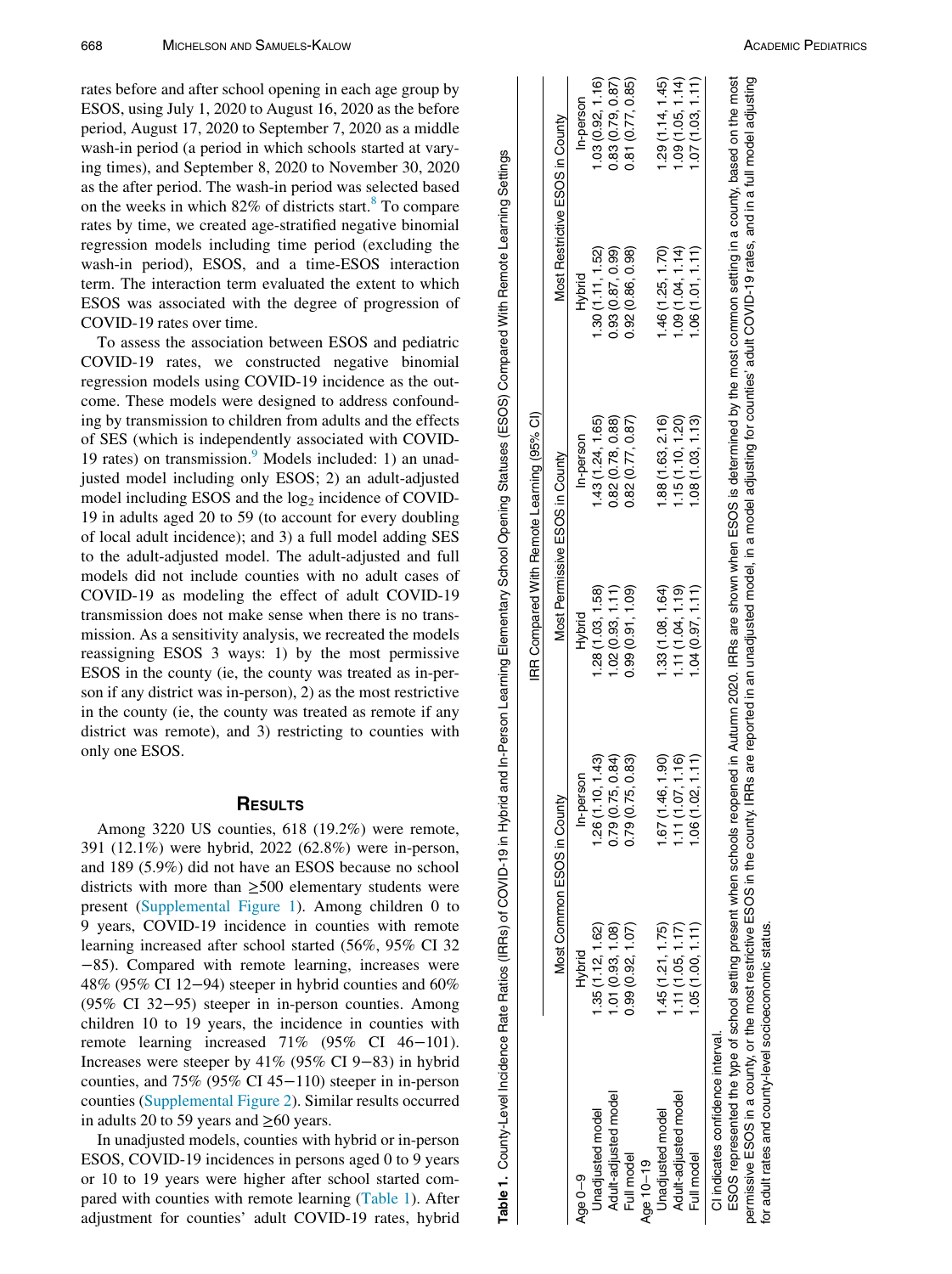<span id="page-1-0"></span>rates before and after school opening in each age group by ESOS, using July 1, 2020 to August 16, 2020 as the before period, August 17, 2020 to September 7, 2020 as a middle wash-in period (a period in which schools started at varying times), and September 8, 2020 to November 30, 2020 as the after period. The wash-in period was selected based on the weeks in which  $82\%$  $82\%$  of districts start.<sup>8</sup> To compare rates by time, we created age-stratified negative binomial regression models including time period (excluding the wash-in period), ESOS, and a time-ESOS interaction term. The interaction term evaluated the extent to which ESOS was associated with the degree of progression of COVID-19 rates over time.

To assess the association between ESOS and pediatric COVID-19 rates, we constructed negative binomial regression models using COVID-19 incidence as the outcome. These models were designed to address confounding by transmission to children from adults and the effects of SES (which is independently associated with COVID-1[9](#page-3-0) rates) on transmission. $9$  Models included: 1) an unadjusted model including only ESOS; 2) an adult-adjusted model including ESOS and the  $log<sub>2</sub>$  incidence of COVID-19 in adults aged 20 to 59 (to account for every doubling of local adult incidence); and 3) a full model adding SES to the adult-adjusted model. The adult-adjusted and full models did not include counties with no adult cases of COVID-19 as modeling the effect of adult COVID-19 transmission does not make sense when there is no transmission. As a sensitivity analysis, we recreated the models reassigning ESOS 3 ways: 1) by the most permissive ESOS in the county (ie, the county was treated as in-person if any district was in-person), 2) as the most restrictive in the county (ie, the county was treated as remote if any district was remote), and 3) restricting to counties with only one ESOS.

#### **RESULTS**

Among 3220 US counties, 618 (19.2%) were remote, 391 (12.1%) were hybrid, 2022 (62.8%) were in-person, and 189 (5.9%) did not have an ESOS because no school districts with more than ≥500 elementary students were present ([Supplemental Figure 1](#page-2-8)). Among children 0 to 9 years, COVID-19 incidence in counties with remote learning increased after school started (56%, 95% CI 32 −85). Compared with remote learning, increases were 48% (95% CI 12−94) steeper in hybrid counties and 60% (95% CI 32−95) steeper in in-person counties. Among children 10 to 19 years, the incidence in counties with remote learning increased 71% (95% CI 46−101). Increases were steeper by 41% (95% CI 9−83) in hybrid counties, and 75% (95% CI 45−110) steeper in in-person counties ([Supplemental Figure 2](#page-2-8)). Similar results occurred in adults 20 to 59 years and  $\geq 60$  years.

In unadjusted models, counties with hybrid or in-person ESOS, COVID-19 incidences in persons aged 0 to 9 years or 10 to 19 years were higher after school started compared with counties with remote learning ([Table 1\)](#page-1-0). After adjustment for counties' adult COVID-19 rates, hybrid

Table 1. County-Level Incidence Rate Ratios (IRRs) of COVID-19 in Hybrid and In-Person Learning Elementary School Opening Statuses (ESOS) Compared With Remote Learning Settings Table 1. County-Level Incidence Rate Ratios (IRRs) of COVID-19 in Hybrid and In-Person Learning Elementary School Opening Statuses (ESOS) Compared With Remote Learning Settings

|                                                                          |                            |                                                                                                                                                                                            |                   | IRR Compared With Remote Learning (95% CI)                                                                                       |                   |                                 |
|--------------------------------------------------------------------------|----------------------------|--------------------------------------------------------------------------------------------------------------------------------------------------------------------------------------------|-------------------|----------------------------------------------------------------------------------------------------------------------------------|-------------------|---------------------------------|
|                                                                          | Most Common ESOS in County |                                                                                                                                                                                            |                   | Most Permissive ESOS in County                                                                                                   |                   | Most Restrictive ESOS in County |
| Age $0-9$                                                                | Hybrid                     | nerson<br><u>م-م</u>                                                                                                                                                                       | Hybrid            | In-person                                                                                                                        | Hybrid            | In-person                       |
| Unadjusted model                                                         | 1.35(1.12, 1.62)           | 1.26(1.10, 1.43)                                                                                                                                                                           | 1.28(1.03, 1.58)  | 1.43(1.24, 1.65)                                                                                                                 | 1.30(1.11, 1.52)  | 1.03(0.92, 1.16)                |
| Adult-adjusted model                                                     | 1.01(0.93, 1.08)           | 0.79(0.75, 0.84)                                                                                                                                                                           | 1.02(0.93, 1.11)  | 0.82(0.78, 0.88)                                                                                                                 | 0.93(0.87, 0.99)  | 0.83(0.79, 0.87)                |
| Full model                                                               | 0.99 (0.92, 1.07)          | 0.79(0.75, 0.83)                                                                                                                                                                           | 0.99(0.91, 1.09)  | 0.82(0.77, 0.87)                                                                                                                 | 0.92 (0.86, 0.98) | 0.81 (0.77, 0.85)               |
| Age 10-19                                                                |                            |                                                                                                                                                                                            |                   |                                                                                                                                  |                   |                                 |
| Unadjusted model                                                         | 1.45(1.21, 1.75)           | 1.67 (1.46, 1.90)                                                                                                                                                                          | 1.33 (1.08, 1.64) | 1.88 (1.63, 2.16)                                                                                                                | 1.46 (1.25, 1.70) | 1.29(1.14, 1.45)                |
| Adult-adjusted model                                                     | 1.11(1.05, 1.17)           | 1.11(1.07, 1.16)                                                                                                                                                                           | 1.11(1.04, 1.19)  | 1.15(1.10, 1.20)                                                                                                                 | 1.09(1.04, 1.14)  | 1.09(1.05, 1.14)                |
| Full model                                                               | 1.05(1.00, 1.11)           | 1.06(1.02, 1.11)                                                                                                                                                                           | 1.04(0.97, 1.11)  | 1.08(1.03, 1.13)                                                                                                                 | 1.06(1.01, 1.11)  | (1.07(1.03, 1.11))              |
| CI indicates confidence interval.                                        |                            |                                                                                                                                                                                            |                   |                                                                                                                                  |                   |                                 |
|                                                                          |                            | ESOS represented the type of school setting present when schools reopened in Autumn 2020. IRRs are shown when ESOS is determined by the most common setting in a county, based on the most |                   |                                                                                                                                  |                   |                                 |
| permissive ESOS in a county, or the most restrictive ESOS in the county. |                            |                                                                                                                                                                                            |                   | IRRs are reported in an unadjusted model, in a model adjusting for counties' adult COVID-19 rates, and in a full model adjusting |                   |                                 |
| for adult rates and county-level socioeconomic status.                   |                            |                                                                                                                                                                                            |                   |                                                                                                                                  |                   |                                 |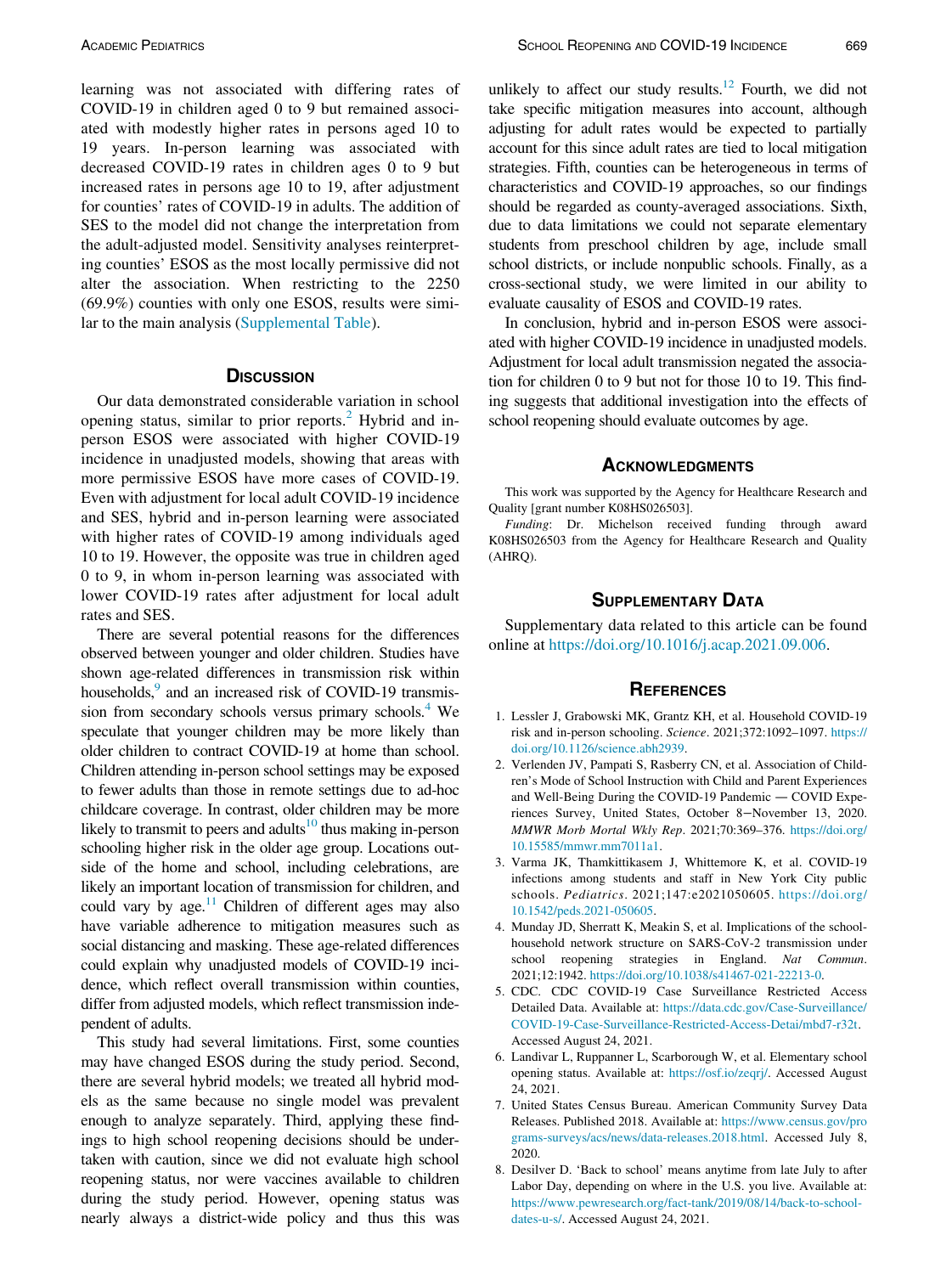learning was not associated with differing rates of COVID-19 in children aged 0 to 9 but remained associated with modestly higher rates in persons aged 10 to 19 years. In-person learning was associated with decreased COVID-19 rates in children ages 0 to 9 but increased rates in persons age 10 to 19, after adjustment for counties' rates of COVID-19 in adults. The addition of SES to the model did not change the interpretation from the adult-adjusted model. Sensitivity analyses reinterpreting counties' ESOS as the most locally permissive did not alter the association. When restricting to the 2250 (69.9%) counties with only one ESOS, results were similar to the main analysis ([Supplemental Table](#page-2-8)).

#### **DISCUSSION**

Our data demonstrated considerable variation in school opening status, similar to prior reports.<sup>[2](#page-2-1)</sup> Hybrid and inperson ESOS were associated with higher COVID-19 incidence in unadjusted models, showing that areas with more permissive ESOS have more cases of COVID-19. Even with adjustment for local adult COVID-19 incidence and SES, hybrid and in-person learning were associated with higher rates of COVID-19 among individuals aged 10 to 19. However, the opposite was true in children aged 0 to 9, in whom in-person learning was associated with lower COVID-19 rates after adjustment for local adult rates and SES.

<span id="page-2-8"></span><span id="page-2-1"></span><span id="page-2-0"></span>There are several potential reasons for the differences observed between younger and older children. Studies have shown age-related differences in transmission risk within households,<sup>9</sup> and an increased risk of COVID-19 transmission from secondary schools versus primary schools.<sup>4</sup> We speculate that younger children may be more likely than older children to contract COVID-19 at home than school. Children attending in-person school settings may be exposed to fewer adults than those in remote settings due to ad-hoc childcare coverage. In contrast, older children may be more likely to transmit to peers and adults<sup>[10](#page-3-1)</sup> thus making in-person schooling higher risk in the older age group. Locations outside of the home and school, including celebrations, are likely an important location of transmission for children, and could vary by age. $11$  Children of different ages may also have variable adherence to mitigation measures such as social distancing and masking. These age-related differences could explain why unadjusted models of COVID-19 incidence, which reflect overall transmission within counties, differ from adjusted models, which reflect transmission independent of adults.

<span id="page-2-7"></span><span id="page-2-6"></span><span id="page-2-5"></span><span id="page-2-4"></span><span id="page-2-3"></span><span id="page-2-2"></span>This study had several limitations. First, some counties may have changed ESOS during the study period. Second, there are several hybrid models; we treated all hybrid models as the same because no single model was prevalent enough to analyze separately. Third, applying these findings to high school reopening decisions should be undertaken with caution, since we did not evaluate high school reopening status, nor were vaccines available to children during the study period. However, opening status was nearly always a district-wide policy and thus this was unlikely to affect our study results. $12$  Fourth, we did not take specific mitigation measures into account, although adjusting for adult rates would be expected to partially account for this since adult rates are tied to local mitigation strategies. Fifth, counties can be heterogeneous in terms of characteristics and COVID-19 approaches, so our findings should be regarded as county-averaged associations. Sixth, due to data limitations we could not separate elementary students from preschool children by age, include small school districts, or include nonpublic schools. Finally, as a cross-sectional study, we were limited in our ability to evaluate causality of ESOS and COVID-19 rates.

In conclusion, hybrid and in-person ESOS were associated with higher COVID-19 incidence in unadjusted models. Adjustment for local adult transmission negated the association for children 0 to 9 but not for those 10 to 19. This finding suggests that additional investigation into the effects of school reopening should evaluate outcomes by age.

#### **ACKNOWLEDGMENTS**

This work was supported by the Agency for Healthcare Research and Quality [grant number K08HS026503].

Funding: Dr. Michelson received funding through award K08HS026503 from the Agency for Healthcare Research and Quality (AHRQ).

#### SUPPLEMENTARY DATA

Supplementary data related to this article can be found online at [https://doi.org/10.1016/j.acap.2021.09.006.](https://doi.org/10.1016/j.acap.2021.09.006)

#### **REFERENCES**

- 1. Lessler J, Grabowski MK, Grantz KH, et al. Household COVID-19 risk and in-person schooling. Science. 2021;372:1092–1097. [https://](https://doi.org/10.1126/science.abh2939) [doi.org/10.1126/science.abh2939.](https://doi.org/10.1126/science.abh2939)
- 2. Verlenden JV, Pampati S, Rasberry CN, et al. Association of Children's Mode of School Instruction with Child and Parent Experiences and Well-Being During the COVID-19 Pandemic — COVID Experiences Survey, United States, October 8−November 13, 2020. MMWR Morb Mortal Wkly Rep. 2021;70:369–376. [https://doi.org/](https://doi.org/10.15585/mmwr.mm7011a1) [10.15585/mmwr.mm7011a1](https://doi.org/10.15585/mmwr.mm7011a1).
- 3. Varma JK, Thamkittikasem J, Whittemore K, et al. COVID-19 infections among students and staff in New York City public schools. Pediatrics. 2021;147:e2021050605. [https://doi.org/](https://doi.org/10.1542/peds.2021-050605) [10.1542/peds.2021-050605.](https://doi.org/10.1542/peds.2021-050605)
- 4. Munday JD, Sherratt K, Meakin S, et al. Implications of the schoolhousehold network structure on SARS-CoV-2 transmission under school reopening strategies in England. Nat Commun. 2021;12:1942. [https://doi.org/10.1038/s41467-021-22213-0.](https://doi.org/10.1038/s41467-021-22213-0)
- 5. CDC. CDC COVID-19 Case Surveillance Restricted Access Detailed Data. Available at: [https://data.cdc.gov/Case-Surveillance/](https://data.cdc.gov/Case-Surveillance/COVID-19-Case-Surveillance-Restricted-Access-Detai/mbd7-r32t) [COVID-19-Case-Surveillance-Restricted-Access-Detai/mbd7-r32t](https://data.cdc.gov/Case-Surveillance/COVID-19-Case-Surveillance-Restricted-Access-Detai/mbd7-r32t). Accessed August 24, 2021.
- 6. Landivar L, Ruppanner L, Scarborough W, et al. Elementary school opening status. Available at: [https://osf.io/zeqrj/.](https://osf.io/zeqrj/) Accessed August 24, 2021.
- 7. United States Census Bureau. American Community Survey Data Releases. Published 2018. Available at: [https://www.census.gov/pro](https://www.census.gov/programs-surveys/acs/news/data-releases.2018.html) [grams-surveys/acs/news/data-releases.2018.html](https://www.census.gov/programs-surveys/acs/news/data-releases.2018.html). Accessed July 8, 2020.
- 8. Desilver D. 'Back to school' means anytime from late July to after Labor Day, depending on where in the U.S. you live. Available at: [https://www.pewresearch.org/fact-tank/2019/08/14/back-to-school](https://www.pewresearch.org/fact-tank/2019/08/14/back-to-school-dates-u-s/)[dates-u-s/](https://www.pewresearch.org/fact-tank/2019/08/14/back-to-school-dates-u-s/). Accessed August 24, 2021.